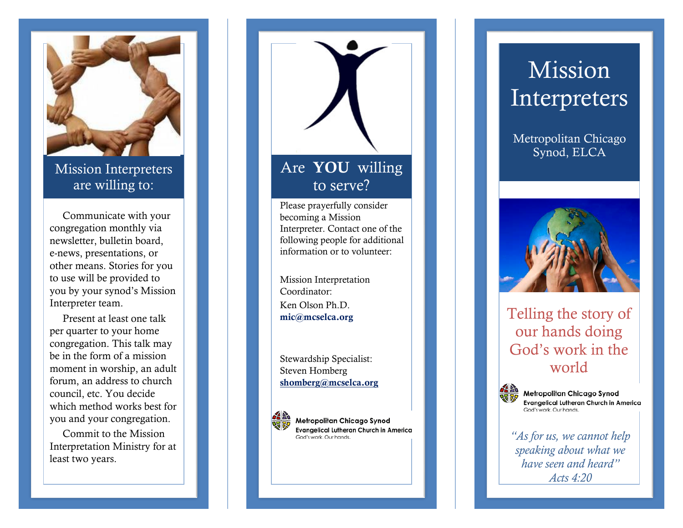

Mission Interpreters are willing to:

 Communicate with your congregation monthly via newsletter, bulletin board, e-news, presentations, or other means. Stories for you to use will be provided to you by your synod's Mission Interpreter team.

 Present at least one talk per quarter to your home congregation. This talk may be in the form of a mission moment in worship, an adult forum, an address to church council, etc. You decide which method works best for you and your congregation.

 Commit to the Mission Interpretation Ministry for at least two years.

## Are YOU willing to serve?

Please prayerfully consider becoming a Mission Interpreter. Contact one of the following people for additional information or to volunteer:

Mission Interpretation Coordinator: Ken Olson Ph.D. mic@mcselca.org

Stewardship Specialist: Steven Homberg [shomberg@mcselca.org](mailto:shomberg@mcselca.org)



Metropolitan Chicago Synod **Evangelical Lutheran Church in America** God's work. Our hands.

# **Mission** Interpreters

Metropolitan Chicago Synod , ELCA



### Telling the story of our hands doing God's work in the world



*"As for us, we cannot help speaking about what we have seen and heard" Acts 4:20*